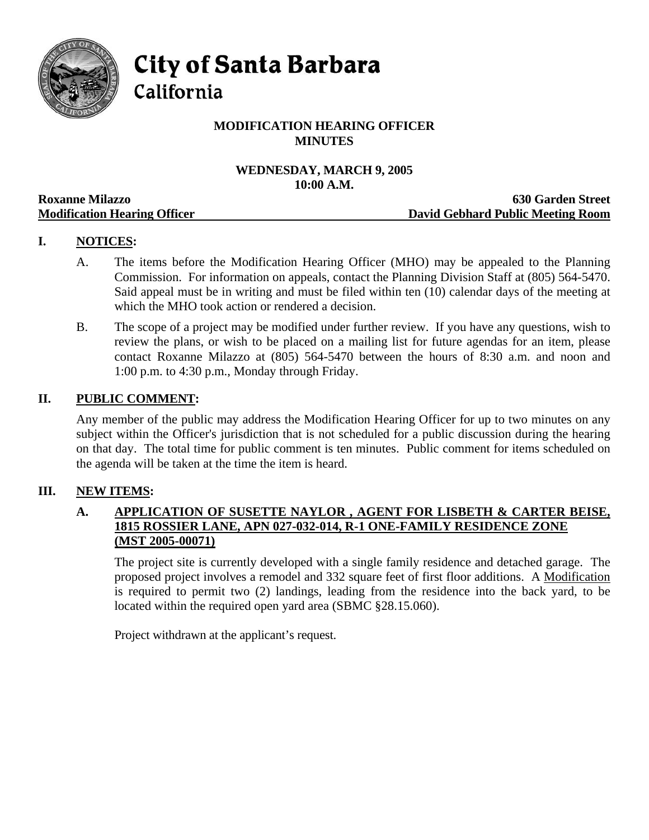

**City of Santa Barbara** 

California

# **MODIFICATION HEARING OFFICER MINUTES**

# **WEDNESDAY, MARCH 9, 2005 10:00 A.M.**

|                                     | TANDA TIMAN                       |
|-------------------------------------|-----------------------------------|
| <b>Roxanne Milazzo</b>              | <b>630 Garden Street</b>          |
| <b>Modification Hearing Officer</b> | David Gebhard Public Meeting Room |

# **I. NOTICES:**

- A. The items before the Modification Hearing Officer (MHO) may be appealed to the Planning Commission. For information on appeals, contact the Planning Division Staff at (805) 564-5470. Said appeal must be in writing and must be filed within ten (10) calendar days of the meeting at which the MHO took action or rendered a decision.
- B. The scope of a project may be modified under further review. If you have any questions, wish to review the plans, or wish to be placed on a mailing list for future agendas for an item, please contact Roxanne Milazzo at (805) 564-5470 between the hours of 8:30 a.m. and noon and 1:00 p.m. to 4:30 p.m., Monday through Friday.

#### **II. PUBLIC COMMENT:**

Any member of the public may address the Modification Hearing Officer for up to two minutes on any subject within the Officer's jurisdiction that is not scheduled for a public discussion during the hearing on that day. The total time for public comment is ten minutes. Public comment for items scheduled on the agenda will be taken at the time the item is heard.

#### **III. NEW ITEMS:**

# **A. APPLICATION OF SUSETTE NAYLOR , AGENT FOR LISBETH & CARTER BEISE, 1815 ROSSIER LANE, APN 027-032-014, R-1 ONE-FAMILY RESIDENCE ZONE (MST 2005-00071)**

The project site is currently developed with a single family residence and detached garage. The proposed project involves a remodel and 332 square feet of first floor additions. A Modification is required to permit two (2) landings, leading from the residence into the back yard, to be located within the required open yard area (SBMC §28.15.060).

Project withdrawn at the applicant's request.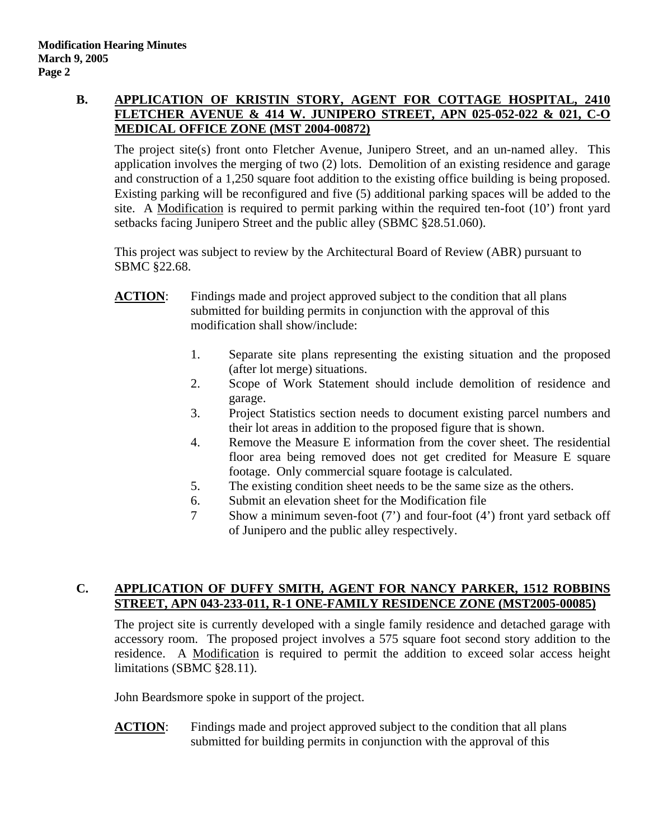## **B. APPLICATION OF KRISTIN STORY, AGENT FOR COTTAGE HOSPITAL, 2410 FLETCHER AVENUE & 414 W. JUNIPERO STREET, APN 025-052-022 & 021, C-O MEDICAL OFFICE ZONE (MST 2004-00872)**

The project site(s) front onto Fletcher Avenue, Junipero Street, and an un-named alley. This application involves the merging of two (2) lots. Demolition of an existing residence and garage and construction of a 1,250 square foot addition to the existing office building is being proposed. Existing parking will be reconfigured and five (5) additional parking spaces will be added to the site. A Modification is required to permit parking within the required ten-foot  $(10^{\circ})$  front yard setbacks facing Junipero Street and the public alley (SBMC §28.51.060).

This project was subject to review by the Architectural Board of Review (ABR) pursuant to SBMC §22.68.

- **ACTION**: Findings made and project approved subject to the condition that all plans submitted for building permits in conjunction with the approval of this modification shall show/include:
	- 1. Separate site plans representing the existing situation and the proposed (after lot merge) situations.
	- 2. Scope of Work Statement should include demolition of residence and garage.
	- 3. Project Statistics section needs to document existing parcel numbers and their lot areas in addition to the proposed figure that is shown.
	- 4. Remove the Measure E information from the cover sheet. The residential floor area being removed does not get credited for Measure E square footage. Only commercial square footage is calculated.
	- 5. The existing condition sheet needs to be the same size as the others.
	- 6. Submit an elevation sheet for the Modification file
	- 7 Show a minimum seven-foot (7') and four-foot (4') front yard setback off of Junipero and the public alley respectively.

# **C. APPLICATION OF DUFFY SMITH, AGENT FOR NANCY PARKER, 1512 ROBBINS STREET, APN 043-233-011, R-1 ONE-FAMILY RESIDENCE ZONE (MST2005-00085)**

The project site is currently developed with a single family residence and detached garage with accessory room. The proposed project involves a 575 square foot second story addition to the residence. A Modification is required to permit the addition to exceed solar access height limitations (SBMC §28.11).

John Beardsmore spoke in support of the project.

**ACTION**: Findings made and project approved subject to the condition that all plans submitted for building permits in conjunction with the approval of this